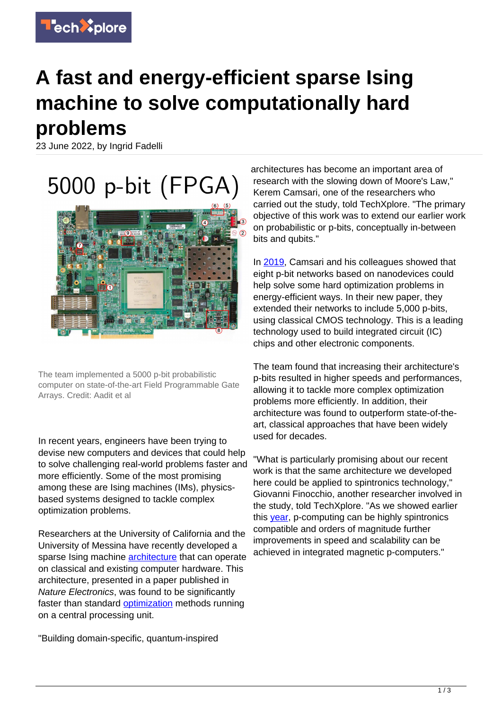

## **A fast and energy-efficient sparse Ising machine to solve computationally hard problems**

23 June 2022, by Ingrid Fadelli

5000 p-bit (FPGA)



The team implemented a 5000 p-bit probabilistic computer on state-of-the-art Field Programmable Gate Arrays. Credit: Aadit et al

In recent years, engineers have been trying to devise new computers and devices that could help to solve challenging real-world problems faster and more efficiently. Some of the most promising among these are Ising machines (IMs), physicsbased systems designed to tackle complex optimization problems.

Researchers at the University of California and the University of Messina have recently developed a sparse Ising machine **architecture** that can operate on classical and existing computer hardware. This architecture, presented in a paper published in Nature Electronics, was found to be significantly faster than standard [optimization](https://techxplore.com/tags/optimization/) methods running on a central processing unit.

"Building domain-specific, quantum-inspired

architectures has become an important area of research with the slowing down of Moore's Law," Kerem Camsari, one of the researchers who carried out the study, told TechXplore. "The primary objective of this work was to extend our earlier work on probabilistic or p-bits, conceptually in-between bits and qubits."

In [2019](https://www.nature.com/articles/s41586-019-1557-9), Camsari and his colleagues showed that eight p-bit networks based on nanodevices could help solve some hard optimization problems in energy-efficient ways. In their new paper, they extended their networks to include 5,000 p-bits, using classical CMOS technology. This is a leading technology used to build integrated circuit (IC) chips and other electronic components.

The team found that increasing their architecture's p-bits resulted in higher speeds and performances, allowing it to tackle more complex optimization problems more efficiently. In addition, their architecture was found to outperform state-of-theart, classical approaches that have been widely used for decades.

"What is particularly promising about our recent work is that the same architecture we developed here could be applied to spintronics technology," Giovanni Finocchio, another researcher involved in the study, told TechXplore. "As we showed earlier this [year](https://journals.aps.org/prapplied/abstract/10.1103/PhysRevApplied.17.024052), p-computing can be highly spintronics compatible and orders of magnitude further improvements in speed and scalability can be achieved in integrated magnetic p-computers."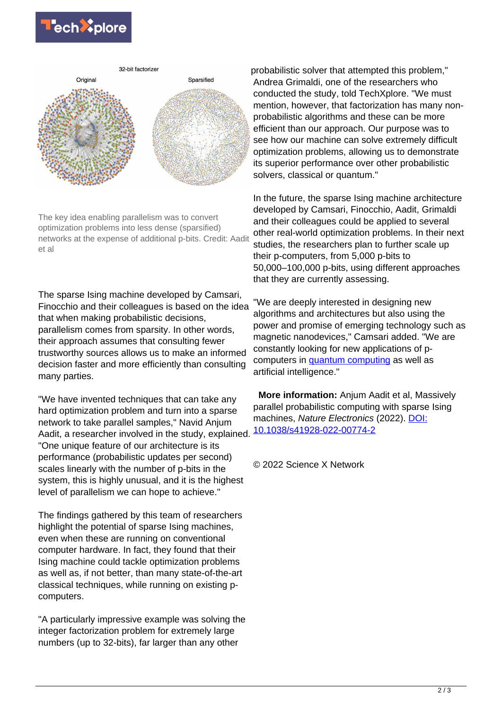



The key idea enabling parallelism was to convert optimization problems into less dense (sparsified) networks at the expense of additional p-bits. Credit: Aadit et al

The sparse Ising machine developed by Camsari, Finocchio and their colleagues is based on the idea that when making probabilistic decisions, parallelism comes from sparsity. In other words, their approach assumes that consulting fewer trustworthy sources allows us to make an informed decision faster and more efficiently than consulting many parties.

"We have invented techniques that can take any hard optimization problem and turn into a sparse network to take parallel samples," Navid Anjum Aadit, a researcher involved in the study, explained. "One unique feature of our architecture is its performance (probabilistic updates per second) scales linearly with the number of p-bits in the system, this is highly unusual, and it is the highest level of parallelism we can hope to achieve."

The findings gathered by this team of researchers highlight the potential of sparse Ising machines, even when these are running on conventional computer hardware. In fact, they found that their Ising machine could tackle optimization problems as well as, if not better, than many state-of-the-art classical techniques, while running on existing pcomputers.

"A particularly impressive example was solving the integer factorization problem for extremely large numbers (up to 32-bits), far larger than any other

probabilistic solver that attempted this problem," Andrea Grimaldi, one of the researchers who conducted the study, told TechXplore. "We must mention, however, that factorization has many nonprobabilistic algorithms and these can be more efficient than our approach. Our purpose was to see how our machine can solve extremely difficult optimization problems, allowing us to demonstrate its superior performance over other probabilistic solvers, classical or quantum."

In the future, the sparse Ising machine architecture developed by Camsari, Finocchio, Aadit, Grimaldi and their colleagues could be applied to several other real-world optimization problems. In their next studies, the researchers plan to further scale up their p-computers, from 5,000 p-bits to 50,000–100,000 p-bits, using different approaches that they are currently assessing.

"We are deeply interested in designing new algorithms and architectures but also using the power and promise of emerging technology such as magnetic nanodevices," Camsari added. "We are constantly looking for new applications of pcomputers in [quantum computing](https://techxplore.com/tags/quantum+computing/) as well as artificial intelligence."

 **More information:** Anjum Aadit et al, Massively parallel probabilistic computing with sparse Ising machines, Nature Electronics (2022). [DOI:](https://dx.doi.org/10.1038/s41928-022-00774-2) [10.1038/s41928-022-00774-2](https://dx.doi.org/10.1038/s41928-022-00774-2)

© 2022 Science X Network